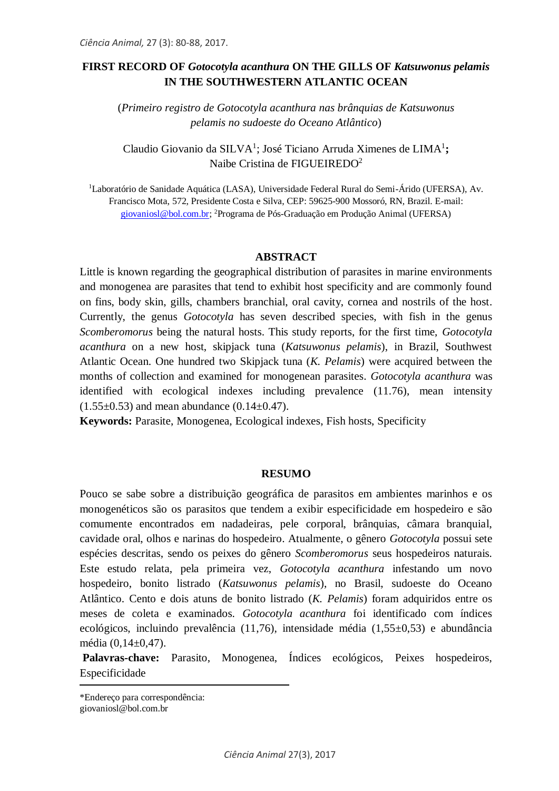# **FIRST RECORD OF** *Gotocotyla acanthura* **ON THE GILLS OF** *Katsuwonus pelamis* **IN THE SOUTHWESTERN ATLANTIC OCEAN**

(*Primeiro registro de Gotocotyla acanthura nas brânquias de Katsuwonus pelamis no sudoeste do Oceano Atlântico*)

Claudio Giovanio da SILVA<sup>1</sup>; José Ticiano Arruda Ximenes de LIMA<sup>1</sup>; Naibe Cristina de FIGUEIREDO<sup>2</sup>

<sup>1</sup>Laboratório de Sanidade Aquática (LASA), Universidade Federal Rural do Semi-Árido (UFERSA), Av. Francisco Mota, 572, Presidente Costa e Silva, CEP: 59625-900 Mossoró, RN, Brazil. E-mail: [giovaniosl@bol.com.br;](mailto:giovaniosl@bol.com.br) <sup>2</sup>Programa de Pós-Graduação em Produção Animal (UFERSA)

### **ABSTRACT**

Little is known regarding the geographical distribution of parasites in marine environments and monogenea are parasites that tend to exhibit host specificity and are commonly found on fins, body skin, gills, chambers branchial, oral cavity, cornea and nostrils of the host. Currently, the genus *Gotocotyla* has seven described species, with fish in the genus *Scomberomorus* being the natural hosts. This study reports, for the first time, *Gotocotyla acanthura* on a new host, skipjack tuna (*Katsuwonus pelamis*), in Brazil, Southwest Atlantic Ocean. One hundred two Skipjack tuna (*K. Pelamis*) were acquired between the months of collection and examined for monogenean parasites. *Gotocotyla acanthura* was identified with ecological indexes including prevalence (11.76), mean intensity  $(1.55\pm0.53)$  and mean abundance  $(0.14\pm0.47)$ .

**Keywords:** Parasite, Monogenea, Ecological indexes, Fish hosts, Specificity

#### **RESUMO**

Pouco se sabe sobre a distribuição geográfica de parasitos em ambientes marinhos e os monogenéticos são os parasitos que tendem a exibir especificidade em hospedeiro e são comumente encontrados em nadadeiras, pele corporal, brânquias, câmara branquial, cavidade oral, olhos e narinas do hospedeiro. Atualmente, o gênero *Gotocotyla* possui sete espécies descritas, sendo os peixes do gênero *Scomberomorus* seus hospedeiros naturais. Este estudo relata, pela primeira vez, *Gotocotyla acanthura* infestando um novo hospedeiro, bonito listrado (*Katsuwonus pelamis*), no Brasil, sudoeste do Oceano Atlântico. Cento e dois atuns de bonito listrado (*K. Pelamis*) foram adquiridos entre os meses de coleta e examinados. *Gotocotyla acanthura* foi identificado com índices ecológicos, incluindo prevalência (11,76), intensidade média (1,55±0,53) e abundância média (0,14±0,47).

Palavras-chave: Parasito, Monogenea, Índices ecológicos, Peixes hospedeiros, Especificidade

\*Endereço para correspondência: [giovaniosl@bol.com.br](mailto:giovaniosl@bol.com.br)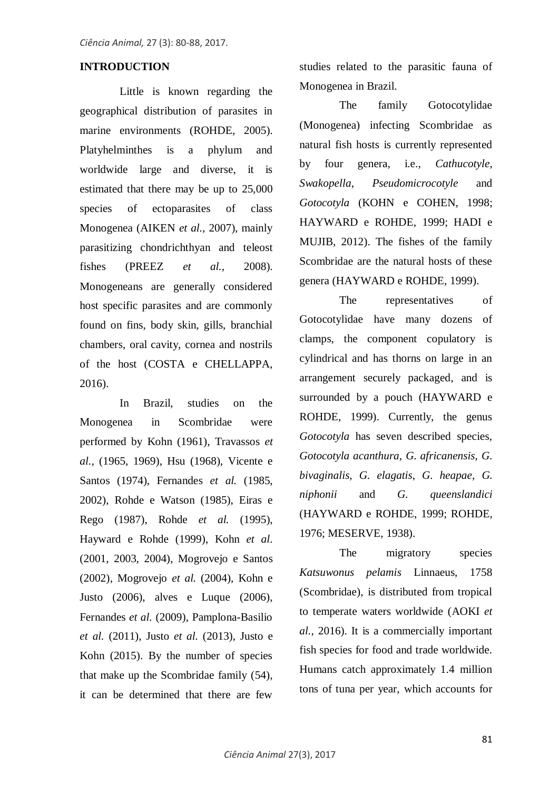# **INTRODUCTION**

Little is known regarding the geographical distribution of parasites in marine environments (ROHDE, 2005). Platyhelminthes is a phylum and worldwide large and diverse, it is estimated that there may be up to 25,000 species of ectoparasites of class Monogenea (AIKEN *et al.,* 2007), mainly parasitizing chondrichthyan and teleost fishes (PREEZ *et al.,* 2008). Monogeneans are generally considered host specific parasites and are commonly found on fins, body skin, gills, branchial chambers, oral cavity, cornea and nostrils of the host (COSTA e CHELLAPPA, 2016).

In Brazil, studies on the Monogenea in Scombridae were performed by Kohn (1961), Travassos *et al.,* (1965, 1969), Hsu (1968), Vicente e Santos (1974), Fernandes *et al.* (1985, 2002), Rohde e Watson (1985), Eiras e Rego (1987), Rohde *et al.* (1995), Hayward e Rohde (1999), Kohn *et al*. (2001, 2003, 2004), Mogrovejo e Santos (2002), Mogrovejo *et al.* (2004), Kohn e Justo (2006), alves e Luque (2006), Fernandes *et al.* (2009), Pamplona-Basilio *et al.* (2011), Justo *et al.* (2013), Justo e Kohn (2015). By the number of species that make up the Scombridae family (54), it can be determined that there are few

studies related to the parasitic fauna of Monogenea in Brazil.

The family Gotocotylidae (Monogenea) infecting Scombridae as natural fish hosts is currently represented by four genera, i.e., *Cathucotyle*, *Swakopella*, *Pseudomicrocotyle* and *Gotocotyla* (KOHN e COHEN, 1998; HAYWARD e ROHDE, 1999; HADI e MUJIB, 2012). The fishes of the family Scombridae are the natural hosts of these genera (HAYWARD e ROHDE, 1999).

The representatives of Gotocotylidae have many dozens of clamps, the component copulatory is cylindrical and has thorns on large in an arrangement securely packaged, and is surrounded by a pouch (HAYWARD e ROHDE, 1999). Currently, the genus *Gotocotyla* has seven described species, *Gotocotyla acanthura*, *G. africanensis*, *G. bivaginalis*, *G. elagatis*, *G. heapae*, *G. niphonii* and *G. queenslandici* (HAYWARD e ROHDE, 1999; ROHDE, 1976; MESERVE, 1938).

The migratory species *Katsuwonus pelamis* Linnaeus, 1758 (Scombridae), is distributed from tropical to temperate waters worldwide (AOKI *et al.,* 2016). It is a commercially important fish species for food and trade worldwide. Humans catch approximately 1.4 million tons of tuna per year, which accounts for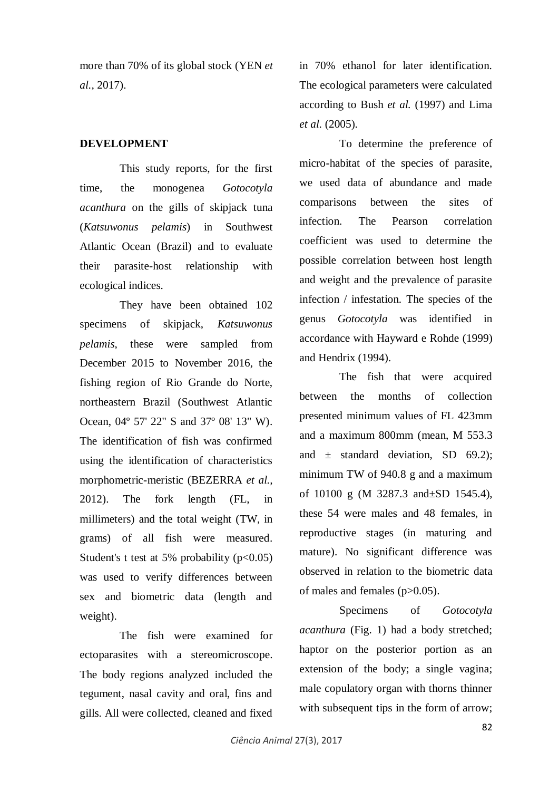more than 70% of its global stock (YEN *et al.,* 2017).

# **DEVELOPMENT**

This study reports, for the first time, the monogenea *Gotocotyla acanthura* on the gills of skipjack tuna (*Katsuwonus pelamis*) in Southwest Atlantic Ocean (Brazil) and to evaluate their parasite-host relationship with ecological indices.

They have been obtained 102 specimens of skipjack, *Katsuwonus pelamis*, these were sampled from December 2015 to November 2016, the fishing region of Rio Grande do Norte, northeastern Brazil (Southwest Atlantic Ocean, 04º 57' 22" S and 37º 08' 13" W). The identification of fish was confirmed using the identification of characteristics morphometric-meristic (BEZERRA *et al.,* 2012). The fork length (FL, in millimeters) and the total weight (TW, in grams) of all fish were measured. Student's t test at 5% probability  $(p<0.05)$ was used to verify differences between sex and biometric data (length and weight).

The fish were examined for ectoparasites with a stereomicroscope. The body regions analyzed included the tegument, nasal cavity and oral, fins and gills. All were collected, cleaned and fixed in 70% ethanol for later identification. The ecological parameters were calculated according to Bush *et al.* (1997) and Lima *et al.* (2005).

To determine the preference of micro-habitat of the species of parasite, we used data of abundance and made comparisons between the sites of infection. The Pearson correlation coefficient was used to determine the possible correlation between host length and weight and the prevalence of parasite infection / infestation. The species of the genus *Gotocotyla* was identified in accordance with Hayward e Rohde (1999) and Hendrix (1994).

The fish that were acquired between the months of collection presented minimum values of FL 423mm and a maximum 800mm (mean, M 553.3 and  $\pm$  standard deviation, SD 69.2); minimum TW of 940.8 g and a maximum of 10100 g (M 3287.3 and±SD 1545.4), these 54 were males and 48 females, in reproductive stages (in maturing and mature). No significant difference was observed in relation to the biometric data of males and females (p>0.05).

Specimens of *Gotocotyla acanthura* (Fig. 1) had a body stretched; haptor on the posterior portion as an extension of the body; a single vagina; male copulatory organ with thorns thinner with subsequent tips in the form of arrow;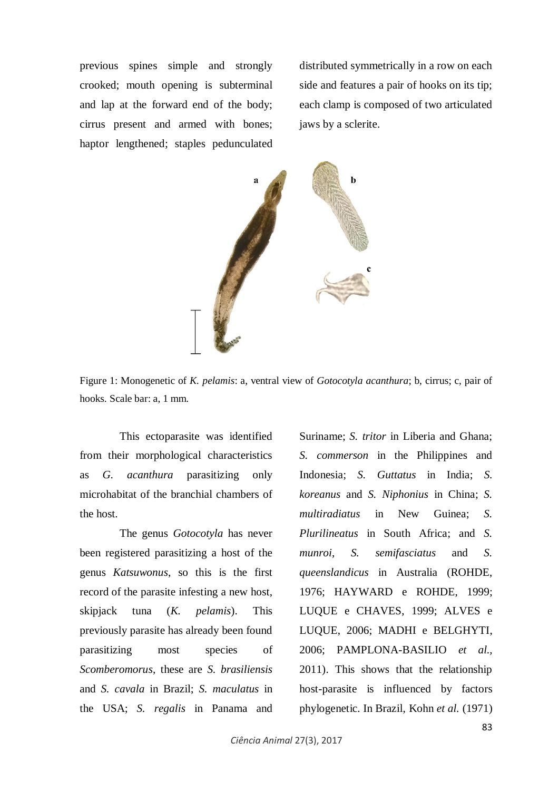previous spines simple and strongly crooked; mouth opening is subterminal and lap at the forward end of the body; cirrus present and armed with bones; haptor lengthened; staples pedunculated

distributed symmetrically in a row on each side and features a pair of hooks on its tip; each clamp is composed of two articulated jaws by a sclerite.



Figure 1: Monogenetic of *K. pelamis*: a, ventral view of *Gotocotyla acanthura*; b, cirrus; c, pair of hooks. Scale bar: a, 1 mm.

This ectoparasite was identified from their morphological characteristics as *G. acanthura* parasitizing only microhabitat of the branchial chambers of the host.

The genus *Gotocotyla* has never been registered parasitizing a host of the genus *Katsuwonus*, so this is the first record of the parasite infesting a new host, skipjack tuna (*K. pelamis*). This previously parasite has already been found parasitizing most species of *Scomberomorus*, these are *S. brasiliensis*  and *S. cavala* in Brazil; *S. maculatus* in the USA; *S. regalis* in Panama and

Suriname; *S. tritor* in Liberia and Ghana; *S. commerson* in the Philippines and Indonesia; *S. Guttatus* in India; *S. koreanus* and *S. Niphonius* in China; *S. multiradiatus* in New Guinea; *S. Plurilineatus* in South Africa; and *S. munroi*, *S. semifasciatus* and *S. queenslandicus* in Australia (ROHDE, 1976; HAYWARD e ROHDE, 1999; LUQUE e CHAVES, 1999; ALVES e LUQUE, 2006; MADHI e BELGHYTI, 2006; PAMPLONA-BASILIO *et al.,* 2011). This shows that the relationship host-parasite is influenced by factors phylogenetic. In Brazil, Kohn *et al.* (1971)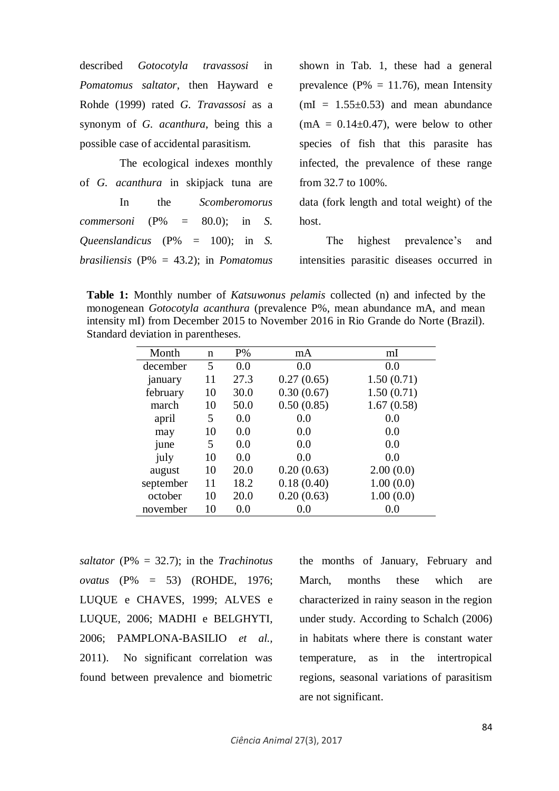| described Gotocotyla travassosi in                        | shown in Tab. 1, these had a general         |
|-----------------------------------------------------------|----------------------------------------------|
| Pomatomus saltator, then Hayward e                        | prevalence ( $P\% = 11.76$ ), mean Intensity |
| Rohde (1999) rated G. Travassosi as a                     | $mI = 1.55 \pm 0.53$ and mean abundance      |
| synonym of G. <i>acanthura</i> , being this a             | $(mA = 0.14 \pm 0.47)$ , were below to other |
| possible case of accidental parasitism.                   | species of fish that this parasite has       |
| The ecological indexes monthly                            | infected, the prevalence of these range      |
| of G. acanthura in skipjack tuna are                      | from $32.7$ to $100\%$ .                     |
| the Scomberomorus<br>In                                   | data (fork length and total weight) of the   |
| <i>commersoni</i> ( $P\% = 80.0$ ); in S.                 | host.                                        |
| <i>Queenslandicus</i> ( $P\% = 100$ ); in <i>S.</i>       | highest prevalence's and<br>The              |
| <i>brasiliensis</i> ( $P\% = 43.2$ ); in <i>Pomatomus</i> | intensities parasitic diseases occurred in   |

**Table 1:** Monthly number of *Katsuwonus pelamis* collected (n) and infected by the monogenean *Gotocotyla acanthura* (prevalence P%, mean abundance mA, and mean intensity mI) from December 2015 to November 2016 in Rio Grande do Norte (Brazil). Standard deviation in parentheses.

| Month     | n  | $P\%$ | mA         | mI         |
|-----------|----|-------|------------|------------|
| december  | 5  | 0.0   | 0.0        | 0.0        |
| january   | 11 | 27.3  | 0.27(0.65) | 1.50(0.71) |
| february  | 10 | 30.0  | 0.30(0.67) | 1.50(0.71) |
| march     | 10 | 50.0  | 0.50(0.85) | 1.67(0.58) |
| april     | 5  | 0.0   | 0.0        | 0.0        |
| may       | 10 | 0.0   | 0.0        | 0.0        |
| june      | 5  | 0.0   | 0.0        | 0.0        |
| july      | 10 | 0.0   | 0.0        | 0.0        |
| august    | 10 | 20.0  | 0.20(0.63) | 2.00(0.0)  |
| september | 11 | 18.2  | 0.18(0.40) | 1.00(0.0)  |
| october   | 10 | 20.0  | 0.20(0.63) | 1.00(0.0)  |
| november  | 10 | 0.0   | 0.0        | 0.0        |

*saltator* (P% = 32.7); in the *Trachinotus ovatus* (P% = 53) (ROHDE, 1976; LUQUE e CHAVES, 1999; ALVES e LUQUE, 2006; MADHI e BELGHYTI, 2006; PAMPLONA-BASILIO *et al.,* 2011). No significant correlation was found between prevalence and biometric the months of January, February and March, months these which are characterized in rainy season in the region under study. According to Schalch (2006) in habitats where there is constant water temperature, as in the intertropical regions, seasonal variations of parasitism are not significant.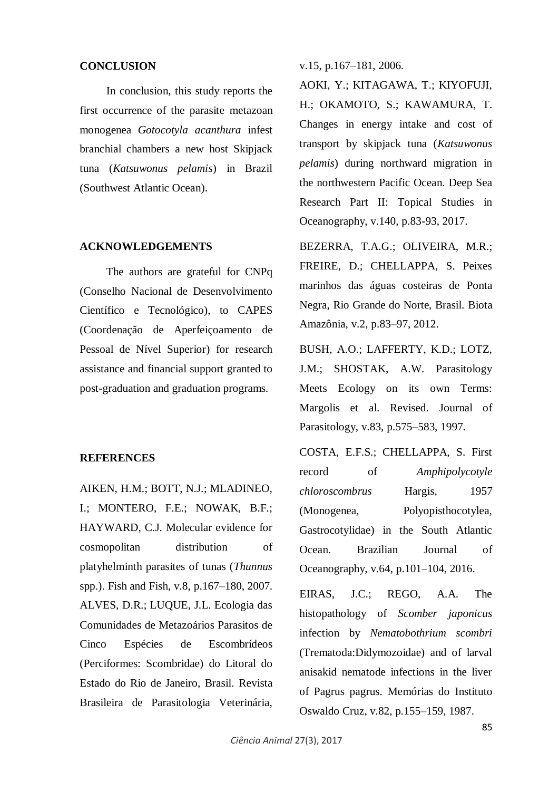### **CONCLUSION**

In conclusion, this study reports the first occurrence of the parasite metazoan monogenea *Gotocotyla acanthura* infest branchial chambers a new host Skipjack tuna (*Katsuwonus pelamis*) in Brazil (Southwest Atlantic Ocean).

#### **ACKNOWLEDGEMENTS**

The authors are grateful for CNPq (Conselho Nacional de Desenvolvimento Científico e Tecnológico), to CAPES (Coordenação de Aperfeiçoamento de Pessoal de Nível Superior) for research assistance and financial support granted to post-graduation and graduation programs.

### **REFERENCES**

AIKEN, H.M.; BOTT, N.J.; MLADINEO, I.; MONTERO, F.E.; NOWAK, B.F.; HAYWARD, C.J. Molecular evidence for cosmopolitan distribution of platyhelminth parasites of tunas (*Thunnus* spp.). Fish and Fish, v.8, p.167–180, 2007. ALVES, D.R.; LUQUE, J.L. Ecologia das Comunidades de Metazoários Parasitos de Cinco Espécies de Escombrídeos (Perciformes: Scombridae) do Litoral do Estado do Rio de Janeiro, Brasil. Revista Brasileira de Parasitologia Veterinária,

v.15, p.167–181, 2006.

AOKI, Y.; KITAGAWA, T.; KIYOFUJI, H.; OKAMOTO, S.; KAWAMURA, T. Changes in energy intake and cost of transport by skipjack tuna (*Katsuwonus pelamis*) during northward migration in the northwestern Pacific Ocean. Deep Sea Research Part II: Topical Studies in Oceanography, v.140, p.83-93, 2017.

BEZERRA, T.A.G.; OLIVEIRA, M.R.; FREIRE, D.; CHELLAPPA, S. Peixes marinhos das águas costeiras de Ponta Negra, Rio Grande do Norte, Brasil. Biota Amazônia, v.2, p.83–97, 2012.

BUSH, A.O.; LAFFERTY, K.D.; LOTZ, J.M.; SHOSTAK, A.W. Parasitology Meets Ecology on its own Terms: Margolis et al. Revised. Journal of Parasitology, v.83, p.575–583, 1997.

COSTA, E.F.S.; CHELLAPPA, S. First record of *Amphipolycotyle chloroscombrus* Hargis, 1957 (Monogenea, Polyopisthocotylea, Gastrocotylidae) in the South Atlantic Ocean. Brazilian Journal of Oceanography, v.64, p.101–104, 2016.

EIRAS, J.C.; REGO, A.A. The histopathology of *Scomber japonicus* infection by *Nematobothrium scombri* (Trematoda:Didymozoidae) and of larval anisakid nematode infections in the liver of Pagrus pagrus. Memórias do Instituto Oswaldo Cruz, v.82, p.155–159, 1987.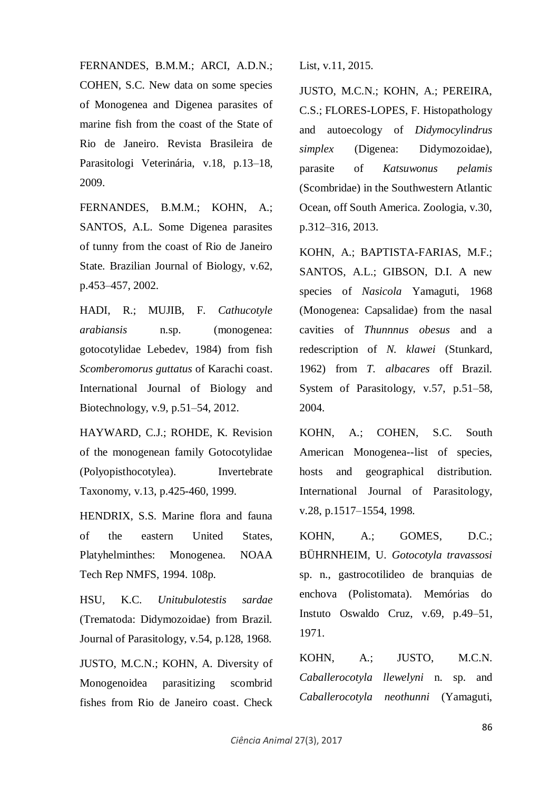FERNANDES, B.M.M.; ARCI, A.D.N.; COHEN, S.C. New data on some species of Monogenea and Digenea parasites of marine fish from the coast of the State of Rio de Janeiro. Revista Brasileira de Parasitologi Veterinária, v.18, p.13–18, 2009.

FERNANDES, B.M.M.; KOHN, A.; SANTOS, A.L. Some Digenea parasites of tunny from the coast of Rio de Janeiro State. Brazilian Journal of Biology, v.62, p.453–457, 2002.

HADI, R.; MUJIB, F. *Cathucotyle arabiansis* n.sp. (monogenea: gotocotylidae Lebedev, 1984) from fish *Scomberomorus guttatus* of Karachi coast. International Journal of Biology and Biotechnology, v.9, p.51–54, 2012.

HAYWARD, C.J.; ROHDE, K. Revision of the monogenean family Gotocotylidae (Polyopisthocotylea). Invertebrate Taxonomy, v.13, p.425-460, 1999.

HENDRIX, S.S. Marine flora and fauna of the eastern United States, Platyhelminthes: Monogenea. NOAA Tech Rep NMFS, 1994. 108p.

HSU, K.C. *Unitubulotestis sardae* (Trematoda: Didymozoidae) from Brazil. Journal of Parasitology, v.54, p.128, 1968.

JUSTO, M.C.N.; KOHN, A. Diversity of Monogenoidea parasitizing scombrid fishes from Rio de Janeiro coast. Check List, v.11, 2015.

JUSTO, M.C.N.; KOHN, A.; PEREIRA, C.S.; FLORES-LOPES, F. Histopathology and autoecology of *Didymocylindrus simplex* (Digenea: Didymozoidae), parasite of *Katsuwonus pelamis* (Scombridae) in the Southwestern Atlantic Ocean, off South America. Zoologia, v.30, p.312–316, 2013.

KOHN, A.; BAPTISTA-FARIAS, M.F.; SANTOS, A.L.; GIBSON, D.I. A new species of *Nasicola* Yamaguti, 1968 (Monogenea: Capsalidae) from the nasal cavities of *Thunnnus obesus* and a redescription of *N. klawei* (Stunkard, 1962) from *T. albacares* off Brazil. System of Parasitology, v.57, p.51–58, 2004.

KOHN, A.; COHEN, S.C. South American Monogenea--list of species, hosts and geographical distribution. International Journal of Parasitology, v.28, p.1517–1554, 1998.

KOHN, A.; GOMES, D.C.; BÜHRNHEIM, U. *Gotocotyla travassosi* sp. n., gastrocotilideo de branquias de enchova (Polistomata). Memórias do Instuto Oswaldo Cruz, v.69, p.49–51, 1971.

KOHN, A.; JUSTO, M.C.N. *Caballerocotyla llewelyni* n. sp. and *Caballerocotyla neothunni* (Yamaguti,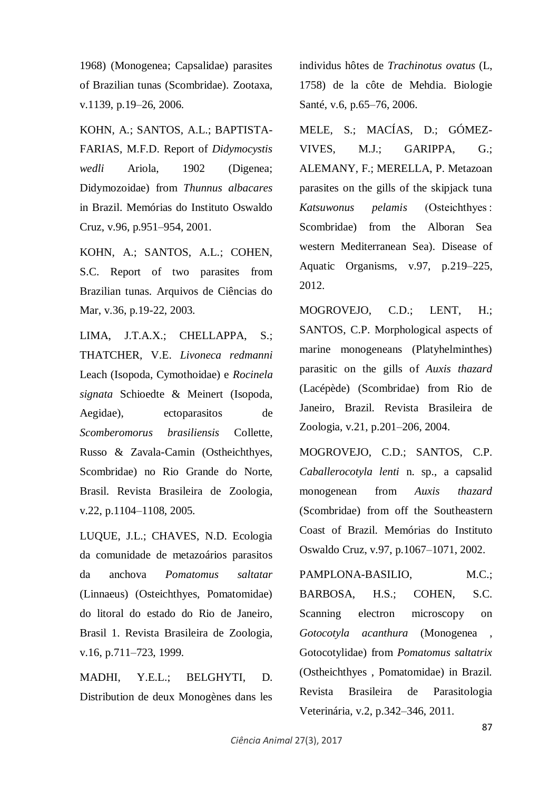1968) (Monogenea; Capsalidae) parasites of Brazilian tunas (Scombridae). Zootaxa, v.1139, p.19–26, 2006.

KOHN, A.; SANTOS, A.L.; BAPTISTA-FARIAS, M.F.D. Report of *Didymocystis wedli* Ariola, 1902 (Digenea; Didymozoidae) from *Thunnus albacares* in Brazil. Memórias do Instituto Oswaldo Cruz, v.96, p.951–954, 2001.

KOHN, A.; SANTOS, A.L.; COHEN, S.C. Report of two parasites from Brazilian tunas. Arquivos de Ciências do Mar, v.36, p.19-22, 2003.

LIMA, J.T.A.X.; CHELLAPPA, S.; THATCHER, V.E. *Livoneca redmanni* Leach (Isopoda, Cymothoidae) e *Rocinela signata* Schioedte & Meinert (Isopoda, Aegidae), ectoparasitos de *Scomberomorus brasiliensis* Collette, Russo & Zavala-Camin (Ostheichthyes, Scombridae) no Rio Grande do Norte, Brasil. Revista Brasileira de Zoologia, v.22, p.1104–1108, 2005.

LUQUE, J.L.; CHAVES, N.D. Ecologia da comunidade de metazoários parasitos da anchova *Pomatomus saltatar* (Linnaeus) (Osteichthyes, Pomatomidae) do litoral do estado do Rio de Janeiro, Brasil 1. Revista Brasileira de Zoologia, v.16, p.711–723, 1999.

MADHI, Y.E.L.; BELGHYTI, D. Distribution de deux Monogènes dans les individus hôtes de *Trachinotus ovatus* (L, 1758) de la côte de Mehdia. Biologie Santé, v.6, p.65–76, 2006.

MELE, S.; MACÍAS, D.; GÓMEZ-VIVES, M.J.; GARIPPA, G.; ALEMANY, F.; MERELLA, P. Metazoan parasites on the gills of the skipjack tuna *Katsuwonus pelamis* (Osteichthyes : Scombridae) from the Alboran Sea western Mediterranean Sea). Disease of Aquatic Organisms, v.97, p.219–225, 2012.

MOGROVEJO, C.D.; LENT, H.; SANTOS, C.P. Morphological aspects of marine monogeneans (Platyhelminthes) parasitic on the gills of *Auxis thazard* (Lacépède) (Scombridae) from Rio de Janeiro, Brazil. Revista Brasileira de Zoologia, v.21, p.201–206, 2004.

MOGROVEJO, C.D.; SANTOS, C.P. *Caballerocotyla lenti* n. sp., a capsalid monogenean from *Auxis thazard* (Scombridae) from off the Southeastern Coast of Brazil. Memórias do Instituto Oswaldo Cruz, v.97, p.1067–1071, 2002.

PAMPLONA-BASILIO, M.C.; BARBOSA, H.S.; COHEN, S.C. Scanning electron microscopy on *Gotocotyla acanthura* (Monogenea , Gotocotylidae) from *Pomatomus saltatrix* (Ostheichthyes , Pomatomidae) in Brazil. Revista Brasileira de Parasitologia Veterinária, v.2, p.342–346, 2011.